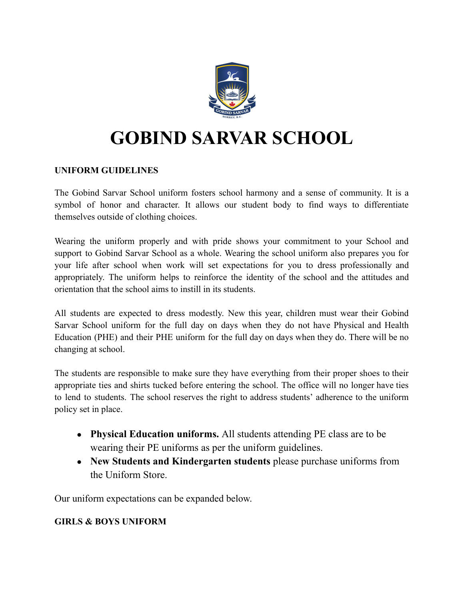

# **GOBIND SARVAR SCHOOL**

### **UNIFORM GUIDELINES**

The Gobind Sarvar School uniform fosters school harmony and a sense of community. It is a symbol of honor and character. It allows our student body to find ways to differentiate themselves outside of clothing choices.

Wearing the uniform properly and with pride shows your commitment to your School and support to Gobind Sarvar School as a whole. Wearing the school uniform also prepares you for your life after school when work will set expectations for you to dress professionally and appropriately. The uniform helps to reinforce the identity of the school and the attitudes and orientation that the school aims to instill in its students.

All students are expected to dress modestly. New this year, children must wear their Gobind Sarvar School uniform for the full day on days when they do not have Physical and Health Education (PHE) and their PHE uniform for the full day on days when they do. There will be no changing at school.

The students are responsible to make sure they have everything from their proper shoes to their appropriate ties and shirts tucked before entering the school. The office will no longer have ties to lend to students. The school reserves the right to address students' adherence to the uniform policy set in place.

- **Physical Education uniforms.** All students attending PE class are to be wearing their PE uniforms as per the uniform guidelines.
- **New Students and Kindergarten students** please purchase uniforms from the Uniform Store.

Our uniform expectations can be expanded below.

## **GIRLS & BOYS UNIFORM**